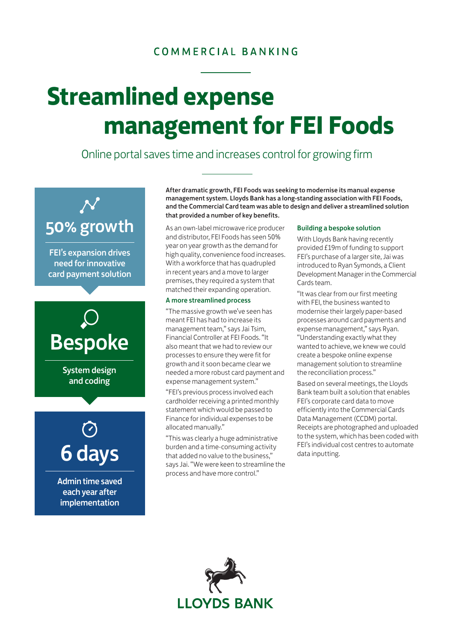### COMMERCIAL BANKING

# **Streamlined expense management for FEI Foods**

Online portal saves time and increases control for growing firm



FEI's expansion drives need for innovative card payment solution



System design and coding



Admin time saved each year after implementation

After dramatic growth, FEI Foods was seeking to modernise its manual expense management system. Lloyds Bank has a long-standing association with FEI Foods, and the Commercial Card team was able to design and deliver a streamlined solution that provided a number of key benefits.

As an own-label microwave rice producer and distributor, FEI Foods has seen 50% year on year growth as the demand for high quality, convenience food increases. With a workforce that has quadrupled in recent years and a move to larger premises, they required a system that matched their expanding operation.

#### A more streamlined process

"The massive growth we've seen has meant FEI has had to increase its management team," says Jai Tsim, Financial Controller at FEI Foods. "It also meant that we had to review our processes to ensure they were fit for growth and it soon became clear we needed a more robust card payment and expense management system."

"FEI's previous process involved each cardholder receiving a printed monthly statement which would be passed to Finance for individual expenses to be allocated manually."

"This was clearly a huge administrative burden and a time-consuming activity that added no value to the business," says Jai. "We were keen to streamline the process and have more control."

#### Building a bespoke solution

With Lloyds Bank having recently provided £19m of funding to support FEI's purchase of a larger site, Jai was introduced to Ryan Symonds, a Client Development Manager in the Commercial Cards team.

"It was clear from our first meeting with FEI, the business wanted to modernise their largely paper-based processes around card payments and expense management," says Ryan. "Understanding exactly what they wanted to achieve, we knew we could create a bespoke online expense management solution to streamline the reconciliation process."

Based on several meetings, the Lloyds Bank team built a solution that enables FEI's corporate card data to move efficiently into the Commercial Cards Data Management (CCDM) portal. Receipts are photographed and uploaded to the system, which has been coded with FEI's individual cost centres to automate data inputting.